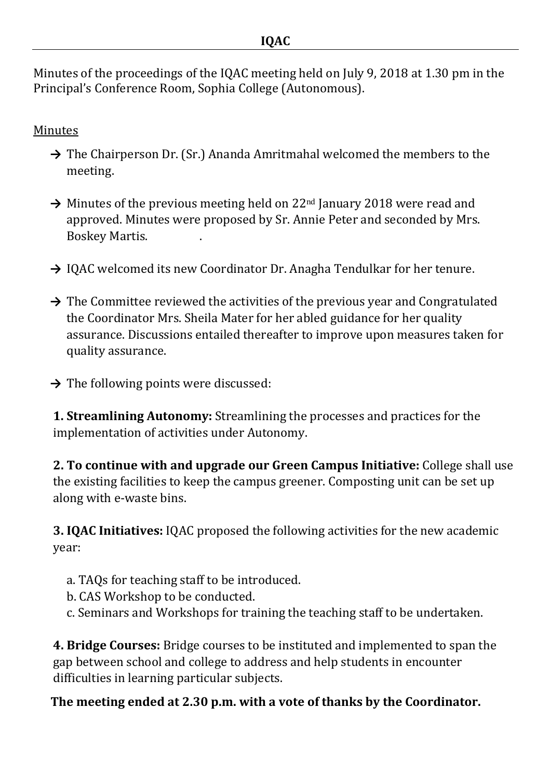Minutes of the proceedings of the IQAC meeting held on July 9, 2018 at 1.30 pm in the Principal's Conference Room, Sophia College (Autonomous).

## **Minutes**

- → The Chairperson Dr. (Sr.) Ananda Amritmahal welcomed the members to the meeting.
- → Minutes of the previous meeting held on 22<sup>nd</sup> January 2018 were read and approved. Minutes were proposed by Sr. Annie Peter and seconded by Mrs. Boskey Martis. .
- → IQAC welcomed its new Coordinator Dr. Anagha Tendulkar for her tenure.
- → The Committee reviewed the activities of the previous year and Congratulated the Coordinator Mrs. Sheila Mater for her abled guidance for her quality assurance. Discussions entailed thereafter to improve upon measures taken for quality assurance.
- **→** The following points were discussed:

**1. Streamlining Autonomy:** Streamlining the processes and practices for the implementation of activities under Autonomy.

**2. To continue with and upgrade our Green Campus Initiative:** College shall use the existing facilities to keep the campus greener. Composting unit can be set up along with e-waste bins.

**3. IQAC Initiatives:** IQAC proposed the following activities for the new academic year:

- a. TAQs for teaching staff to be introduced.
- b. CAS Workshop to be conducted.
- c. Seminars and Workshops for training the teaching staff to be undertaken.

**4. Bridge Courses:** Bridge courses to be instituted and implemented to span the gap between school and college to address and help students in encounter difficulties in learning particular subjects.

## **The meeting ended at 2.30 p.m. with a vote of thanks by the Coordinator.**